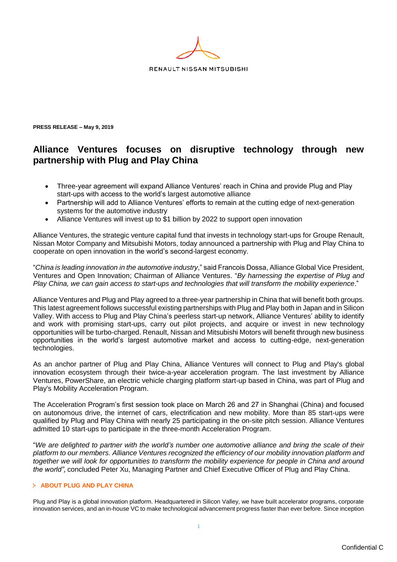

**PRESS RELEASE – May 9, 2019** 

# **Alliance Ventures focuses on disruptive technology through new partnership with Plug and Play China**

- Three-year agreement will expand Alliance Ventures' reach in China and provide Plug and Play start-ups with access to the world's largest automotive alliance
- Partnership will add to Alliance Ventures' efforts to remain at the cutting edge of next-generation systems for the automotive industry
- Alliance Ventures will invest up to \$1 billion by 2022 to support open innovation

Alliance Ventures, the strategic venture capital fund that invests in technology start-ups for Groupe Renault, Nissan Motor Company and Mitsubishi Motors, today announced a partnership with Plug and Play China to cooperate on open innovation in the world's second-largest economy.

"*China is leading innovation in the automotive industry*," said Francois Dossa, Alliance Global Vice President, Ventures and Open Innovation; Chairman of Alliance Ventures. "*By harnessing the expertise of Plug and Play China, we can gain access to start-ups and technologies that will transform the mobility experience*."

Alliance Ventures and Plug and Play agreed to a three-year partnership in China that will benefit both groups. This latest agreement follows successful existing partnerships with Plug and Play both in Japan and in Silicon Valley. With access to Plug and Play China's peerless start-up network, Alliance Ventures' ability to identify and work with promising start-ups, carry out pilot projects, and acquire or invest in new technology opportunities will be turbo-charged. Renault, Nissan and Mitsubishi Motors will benefit through new business opportunities in the world's largest automotive market and access to cutting-edge, next-generation technologies.

As an anchor partner of Plug and Play China, Alliance Ventures will connect to Plug and Play's global innovation ecosystem through their twice-a-year acceleration program. The last investment by Alliance Ventures, PowerShare, an electric vehicle charging platform start-up based in China, was part of Plug and Play's Mobility Acceleration Program.

The Acceleration Program's first session took place on March 26 and 27 in Shanghai (China) and focused on autonomous drive, the internet of cars, electrification and new mobility. More than 85 start-ups were qualified by Plug and Play China with nearly 25 participating in the on-site pitch session. Alliance Ventures admitted 10 start-ups to participate in the three-month Acceleration Program.

"*We are delighted to partner with the world's number one automotive alliance and bring the scale of their platform to our members. Alliance Ventures recognized the efficiency of our mobility innovation platform and together we will look for opportunities to transform the mobility experience for people in China and around the world"*, concluded Peter Xu, Managing Partner and Chief Executive Officer of Plug and Play China.

## **ABOUT PLUG AND PLAY CHINA**

Plug and Play is a global innovation platform. Headquartered in Silicon Valley, we have built accelerator programs, corporate innovation services, and an in-house VC to make technological advancement progress faster than ever before. Since inception